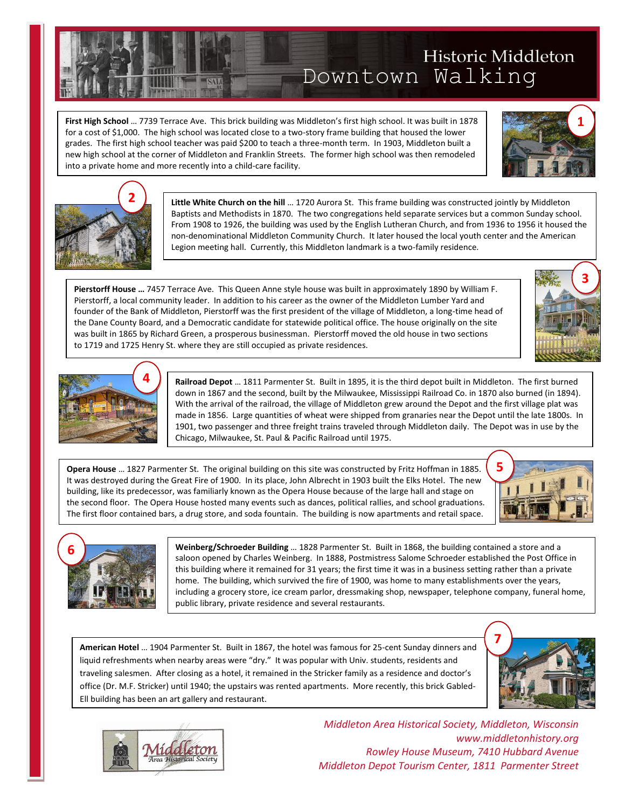Tour **First High School** … 7739 Terrace Ave. This brick building was Middleton's first high school. It was built in 1878 **First Fign Schoo**r ... 7739 Terrace Ave. This brick building was Middieton's first high school. It was built in 18<br>for a cost of \$1,000. The high school was located close to a two-story frame building that housed the lowe grades. The first high school teacher was paid \$200 to teach a three-month term. In 1903, Middleton built a new high school at the corner of Middleton and Franklin Streets. The former high school was then remodeled into a private home and more recently into a child-care facility.

> **Little White Church on the hill** … 1720 Aurora St. This frame building was constructed jointly by Middleton Baptists and Methodists in 1870. The two congregations held separate services but a common Sunday school. From 1908 to 1926, the building was used by the English Lutheran Church, and from 1936 to 1956 it housed the non-denominational Middleton Community Church. It later housed the local youth center and the American Legion meeting hall. Currently, this Middleton landmark is a two-family residence.

l **Pierstorff House ...** 7457 Terrace Ave. This Queen Anne style house was built in approximately 1890 by William F.<br>Pierstorff, a local community loader. In addition to his career as the owner of the Middleton Lumber Yard a founder of the Bank of Middleton, Pierstorff was the first president of the village of Middleton, a long-time head of the Dane County Board, and a Democratic candidate for statewide political office. The house originally on the site was built in 1865 by Richard Green, a prosperous businessman. Pierstorff moved the old house in two sections to 1719 and 1725 Henry St. where they are still occupied as private residences. Pierstorff, a local community leader. In addition to his career as the owner of the Middleton Lumber Yard and

> **Railroad Depot** … 1811 Parmenter St. Built in 1895, it is the third depot built in Middleton. The first burned down in 1867 and the second, built by the Milwaukee, Mississippi Railroad Co. in 1870 also burned (in 1894). With the arrival of the railroad, the village of Middleton grew around the Depot and the first village plat was made in 1856. Large quantities of wheat were shipped from granaries near the Depot until the late 1800s. In 1901, two passenger and three freight trains traveled through Middleton daily. The Depot was in use by the Chicago, Milwaukee, St. Paul & Pacific Railroad until 1975.

 **Opera House** … 1827 Parmenter St. The original building on this site was constructed by Fritz Hoffman in 1885. It was destroyed during the Great Fire of 1900. In its place, John Albrecht in 1903 built the Elks Hotel. The new building, like its predecessor, was familiarly known as the Opera House because of the large hall and stage on the second floor. The Opera House hosted many events such as dances, political rallies, and school graduations. The first floor contained bars, a drug store, and soda fountain. The building is now apartments and retail space.

> **Weinberg/Schroeder Building** … 1828 Parmenter St. Built in 1868, the building contained a store and a saloon opened by Charles Weinberg. In 1888, Postmistress Salome Schroeder established the Post Office in this building where it remained for 31 years; the first time it was in a business setting rather than a private home. The building, which survived the fire of 1900, was home to many establishments over the years, including a grocery store, ice cream parlor, dressmaking shop, newspaper, telephone company, funeral home, public library, private residence and several restaurants.

**American Hotel** … 1904 Parmenter St. Built in 1867, the hotel was famous for 25-cent Sunday dinners and liquid refreshments when nearby areas were "dry." It was popular with Univ. students, residents and traveling salesmen. After closing as a hotel, it remained in the Stricker family as a residence and doctor's office (Dr. M.F. Stricker) until 1940; the upstairs was rented apartments. More recently, this brick Gabled-Ell building has been an art gallery and restaurant.









**1**





**4**

i. **ALL** ŕ<br>F  $\frac{1}{2}$ **CONTRACTOR** Ï

j



**7**